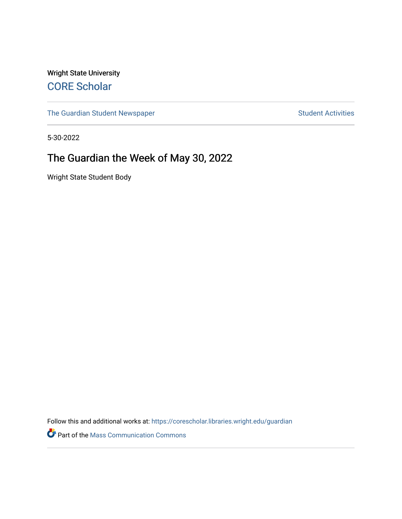Wright State University [CORE Scholar](https://corescholar.libraries.wright.edu/)

[The Guardian Student Newspaper](https://corescholar.libraries.wright.edu/guardian) Student Activities

5-30-2022

#### The Guardian the Week of May 30, 2022

Wright State Student Body

Follow this and additional works at: [https://corescholar.libraries.wright.edu/guardian](https://corescholar.libraries.wright.edu/guardian?utm_source=corescholar.libraries.wright.edu%2Fguardian%2F2524&utm_medium=PDF&utm_campaign=PDFCoverPages)

**Part of the Mass Communication Commons**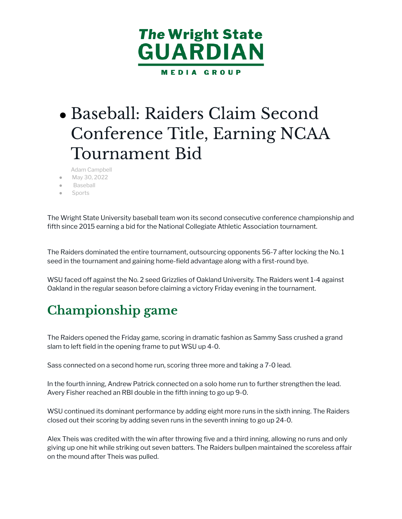

## • Baseball: Raiders Claim Second Conference Title, Earning NCAA Tournament Bid

- [Adam Campbell](https://wsuguardian.com/author/adamcampbell/)
- [May 30, 2022](https://wsuguardian.com/2022/05/30/)
- **[Baseball](https://wsuguardian.com/category/baseball-sports/)**
- **[Sports](https://wsuguardian.com/category/sports/)**

The Wright State University baseball team won its second consecutive conference championship and fifth since 2015 earning a bid for the National Collegiate Athletic Association tournament.

The Raiders dominated the entire tournament, outsourcing opponents 56-7 after locking the No. 1 seed in the tournament and gaining home-field advantage along with a first-round bye.

WSU faced off against the No. 2 seed Grizzlies of Oakland University. The Raiders went 1-4 against Oakland in the regular season before claiming a victory Friday evening in the tournament.

### **Championship game**

The Raiders opened the Friday game, scoring in dramatic fashion as Sammy Sass crushed a grand slam to left field in the opening frame to put WSU up 4-0.

Sass connected on a second home run, scoring three more and taking a 7-0 lead.

In the fourth inning, Andrew Patrick connected on a solo home run to further strengthen the lead. Avery Fisher reached an RBI double in the fifth inning to go up 9-0.

WSU continued its dominant performance by adding eight more runs in the sixth inning. The Raiders closed out their scoring by adding seven runs in the seventh inning to go up 24-0.

Alex Theis was credited with the win after throwing five and a third inning, allowing no runs and only giving up one hit while striking out seven batters. The Raiders bullpen maintained the scoreless affair on the mound after Theis was pulled.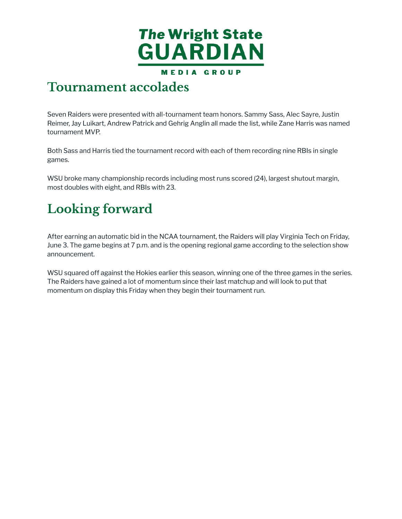

#### **Tournament accolades**

Seven Raiders were presented with all-tournament team honors. Sammy Sass, Alec Sayre, Justin Reimer, Jay Luikart, Andrew Patrick and Gehrig Anglin all made the list, while Zane Harris was named tournament MVP.

Both Sass and Harris tied the tournament record with each of them recording nine RBIs in single games.

WSU broke many championship records including most runs scored (24), largest shutout margin, most doubles with eight, and RBIs with 23.

## **Looking forward**

After earning an automatic bid in the NCAA tournament, the Raiders will play Virginia Tech on Friday, June 3. The game begins at 7 p.m. and is the opening regional game according to the selection show announcement.

WSU squared off against the Hokies earlier this season, winning one of the three games in the series. The Raiders have gained a lot of momentum since their last matchup and will look to put that momentum on display this Friday when they begin their tournament run.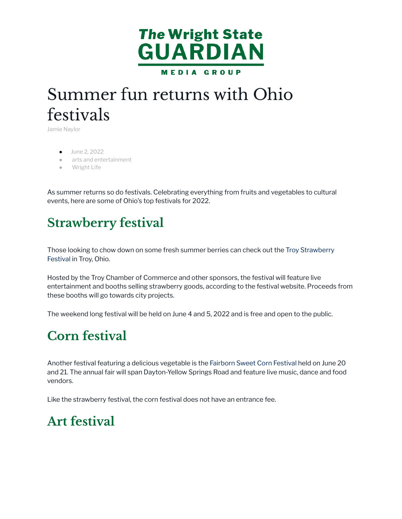

## Summer fun returns with Ohio festivals

[Jamie Naylor](https://wsuguardian.com/author/jamienaylor/)

- [June 2, 2022](https://wsuguardian.com/2022/06/02/)
- [arts and entertainment](https://wsuguardian.com/category/wright-life/arts-and-entertainment/)
- [Wright Life](https://wsuguardian.com/category/wright-life/)

As summer returns so do festivals. Celebrating everything from fruits and vegetables to cultural events, here are some of Ohio's top festivals for 2022.

#### **Strawberry festival**

Those looking to chow down on some fresh summer berries can check out the [Troy Strawberry](https://www.troystrawberryfest.com/) [Festival](https://www.troystrawberryfest.com/) in Troy, Ohio.

Hosted by the Troy Chamber of Commerce and other sponsors, the festival will feature live entertainment and booths selling strawberry goods, according to the festival website. Proceeds from these booths will go towards city projects.

The weekend long festival will be held on June 4 and 5, 2022 and is free and open to the public.

#### **Corn festival**

Another festival featuring a delicious vegetable is the [Fairborn Sweet Corn Festival](https://www.fairbornsweetcornfestival.org/index.html) held on June 20 and 21. The annual fair will span Dayton-Yellow Springs Road and feature live music, dance and food vendors.

Like the strawberry festival, the corn festival does not have an entrance fee.

#### **Art festival**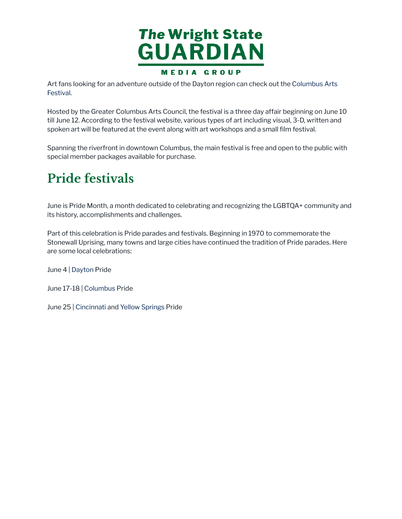

Art fans looking for an adventure outside of the Dayton region can check out the [Columbus Arts](https://www.columbusartsfestival.org/) [Festival](https://www.columbusartsfestival.org/).

Hosted by the Greater Columbus Arts Council, the festival is a three day affair beginning on June 10 till June 12. According to the festival website, various types of art including visual, 3-D, written and spoken art will be featured at the event along with art workshops and a small film festival.

Spanning the riverfront in downtown Columbus, the main festival is free and open to the public with special member packages available for purchase.

## **Pride festivals**

June is Pride Month, a month dedicated to celebrating and recognizing the LGBTQA+ community and its history, accomplishments and challenges.

Part of this celebration is Pride parades and festivals. Beginning in 1970 to commemorate the Stonewall Uprising, many towns and large cities have continued the tradition of Pride parades. Here are some local celebrations:

June 4 | [Dayton](https://www.daytonlgbtcenter.org/pride) Pride

June 17-18 | [Columbus](https://stonewallcolumbus.org/pride/) Pride

June 25 | [Cincinnati](https://www.cincinnatipride.org/) and [Yellow Springs](https://www.yspride.com/) Pride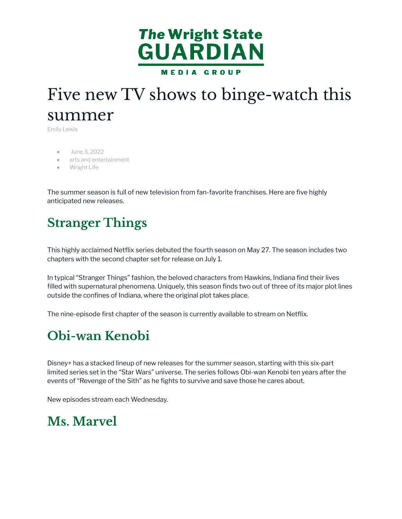

# Five new TV shows to binge-watch this summer

[Emily Lewis](https://wsuguardian.com/author/emilylewis/)

- [June 3, 2022](https://wsuguardian.com/2022/06/03/)
- [arts and entertainment](https://wsuguardian.com/category/wright-life/arts-and-entertainment/)
- **[Wright Life](https://wsuguardian.com/category/wright-life/)**

The summer season is full of new television from fan-favorite franchises. Here are five highly anticipated new releases.

### **Stranger Things**

This highly acclaimed Netflix series debuted the fourth season on May 27. The season includes two chapters with the second chapter set for release on July 1.

In typical "Stranger Things" fashion, the beloved characters from Hawkins, Indiana find their lives filled with supernatural phenomena. Uniquely, this season finds two out of three of its major plot lines outside the confines of Indiana, where the original plot takes place.

The nine-episode first chapter of the season is currently available to stream on Netflix.

#### **Obi-wan Kenobi**

Disney+ has a stacked lineup of new releases for the summer season, starting with this six-part limited series set in the "Star Wars" universe. The series follows Obi-wan Kenobi ten years after the events of "Revenge of the Sith" as he fights to survive and save those he cares about.

New episodes stream each Wednesday.

#### **Ms. Marvel**